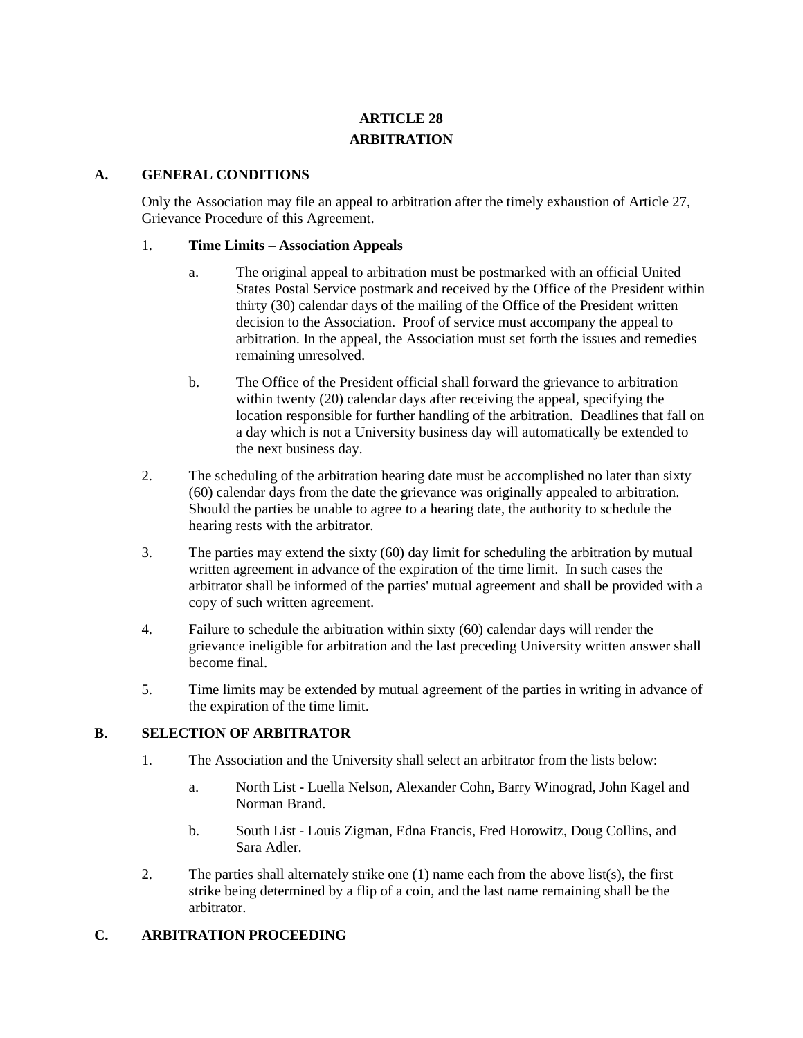# **ARTICLE 28 ARBITRATION**

#### **A. GENERAL CONDITIONS**

Only the Association may file an appeal to arbitration after the timely exhaustion of Article 27, Grievance Procedure of this Agreement.

#### 1. **Time Limits – Association Appeals**

- a. The original appeal to arbitration must be postmarked with an official United States Postal Service postmark and received by the Office of the President within thirty (30) calendar days of the mailing of the Office of the President written decision to the Association. Proof of service must accompany the appeal to arbitration. In the appeal, the Association must set forth the issues and remedies remaining unresolved.
- b. The Office of the President official shall forward the grievance to arbitration within twenty (20) calendar days after receiving the appeal, specifying the location responsible for further handling of the arbitration. Deadlines that fall on a day which is not a University business day will automatically be extended to the next business day.
- 2. The scheduling of the arbitration hearing date must be accomplished no later than sixty (60) calendar days from the date the grievance was originally appealed to arbitration. Should the parties be unable to agree to a hearing date, the authority to schedule the hearing rests with the arbitrator.
- 3. The parties may extend the sixty (60) day limit for scheduling the arbitration by mutual written agreement in advance of the expiration of the time limit. In such cases the arbitrator shall be informed of the parties' mutual agreement and shall be provided with a copy of such written agreement.
- 4. Failure to schedule the arbitration within sixty (60) calendar days will render the grievance ineligible for arbitration and the last preceding University written answer shall become final.
- 5. Time limits may be extended by mutual agreement of the parties in writing in advance of the expiration of the time limit.

## **B. SELECTION OF ARBITRATOR**

- 1. The Association and the University shall select an arbitrator from the lists below:
	- a. North List Luella Nelson, Alexander Cohn, Barry Winograd, John Kagel and Norman Brand.
	- b. South List Louis Zigman, Edna Francis, Fred Horowitz, Doug Collins, and Sara Adler.
- 2. The parties shall alternately strike one (1) name each from the above list(s), the first strike being determined by a flip of a coin, and the last name remaining shall be the arbitrator.

## **C. ARBITRATION PROCEEDING**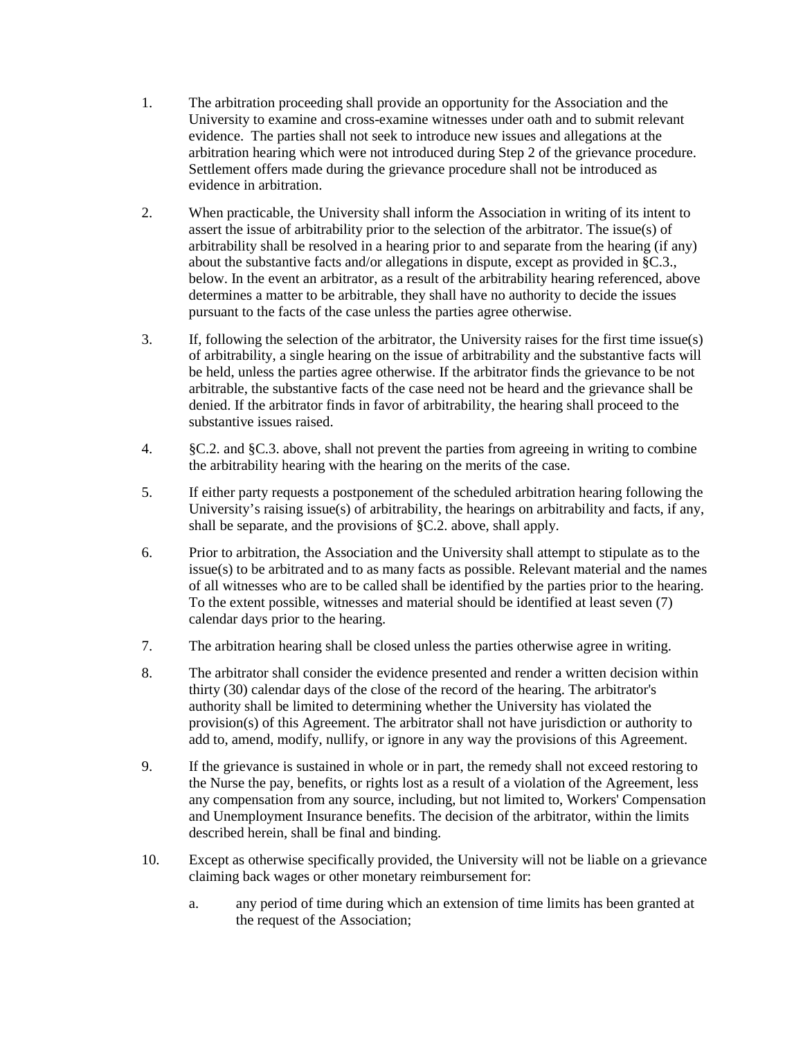- 1. The arbitration proceeding shall provide an opportunity for the Association and the University to examine and cross-examine witnesses under oath and to submit relevant evidence. The parties shall not seek to introduce new issues and allegations at the arbitration hearing which were not introduced during Step 2 of the grievance procedure. Settlement offers made during the grievance procedure shall not be introduced as evidence in arbitration.
- 2. When practicable, the University shall inform the Association in writing of its intent to assert the issue of arbitrability prior to the selection of the arbitrator. The issue(s) of arbitrability shall be resolved in a hearing prior to and separate from the hearing (if any) about the substantive facts and/or allegations in dispute, except as provided in §C.3., below. In the event an arbitrator, as a result of the arbitrability hearing referenced, above determines a matter to be arbitrable, they shall have no authority to decide the issues pursuant to the facts of the case unless the parties agree otherwise.
- 3. If, following the selection of the arbitrator, the University raises for the first time issue(s) of arbitrability, a single hearing on the issue of arbitrability and the substantive facts will be held, unless the parties agree otherwise. If the arbitrator finds the grievance to be not arbitrable, the substantive facts of the case need not be heard and the grievance shall be denied. If the arbitrator finds in favor of arbitrability, the hearing shall proceed to the substantive issues raised.
- 4. §C.2. and §C.3. above, shall not prevent the parties from agreeing in writing to combine the arbitrability hearing with the hearing on the merits of the case.
- 5. If either party requests a postponement of the scheduled arbitration hearing following the University's raising issue(s) of arbitrability, the hearings on arbitrability and facts, if any, shall be separate, and the provisions of §C.2. above, shall apply.
- 6. Prior to arbitration, the Association and the University shall attempt to stipulate as to the issue(s) to be arbitrated and to as many facts as possible. Relevant material and the names of all witnesses who are to be called shall be identified by the parties prior to the hearing. To the extent possible, witnesses and material should be identified at least seven (7) calendar days prior to the hearing.
- 7. The arbitration hearing shall be closed unless the parties otherwise agree in writing.
- 8. The arbitrator shall consider the evidence presented and render a written decision within thirty (30) calendar days of the close of the record of the hearing. The arbitrator's authority shall be limited to determining whether the University has violated the provision(s) of this Agreement. The arbitrator shall not have jurisdiction or authority to add to, amend, modify, nullify, or ignore in any way the provisions of this Agreement.
- 9. If the grievance is sustained in whole or in part, the remedy shall not exceed restoring to the Nurse the pay, benefits, or rights lost as a result of a violation of the Agreement, less any compensation from any source, including, but not limited to, Workers' Compensation and Unemployment Insurance benefits. The decision of the arbitrator, within the limits described herein, shall be final and binding.
- 10. Except as otherwise specifically provided, the University will not be liable on a grievance claiming back wages or other monetary reimbursement for:
	- a. any period of time during which an extension of time limits has been granted at the request of the Association;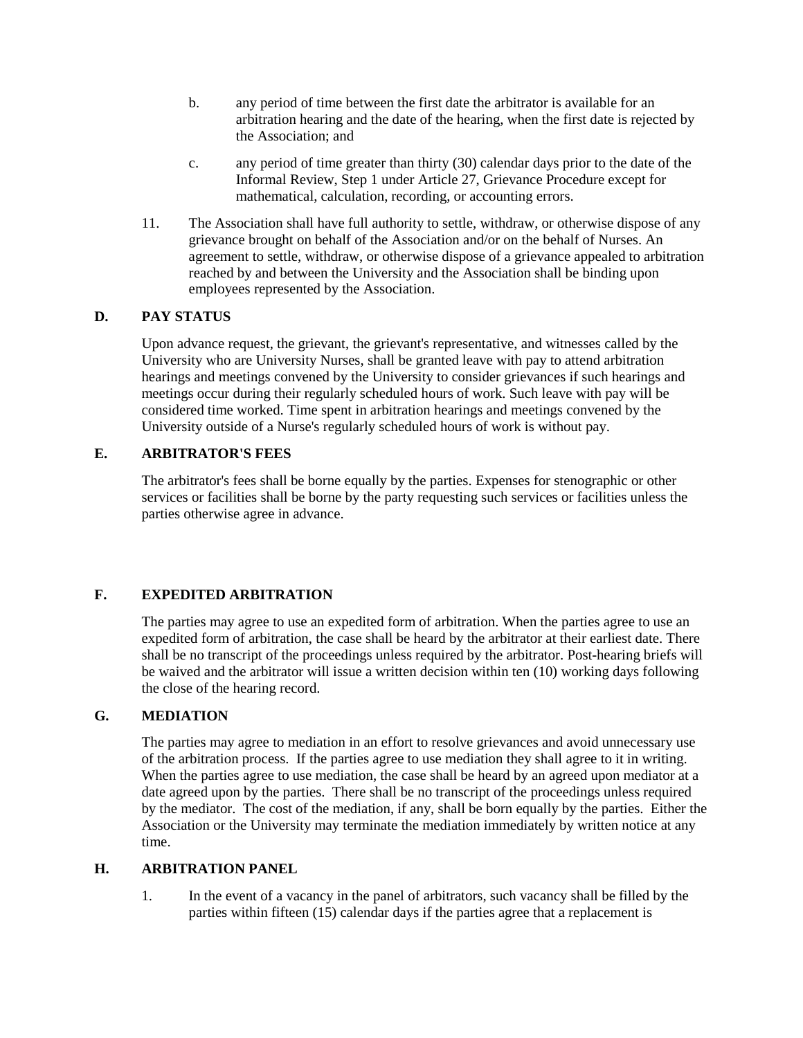- b. any period of time between the first date the arbitrator is available for an arbitration hearing and the date of the hearing, when the first date is rejected by the Association; and
- c. any period of time greater than thirty (30) calendar days prior to the date of the Informal Review, Step 1 under Article 27, Grievance Procedure except for mathematical, calculation, recording, or accounting errors.
- 11. The Association shall have full authority to settle, withdraw, or otherwise dispose of any grievance brought on behalf of the Association and/or on the behalf of Nurses. An agreement to settle, withdraw, or otherwise dispose of a grievance appealed to arbitration reached by and between the University and the Association shall be binding upon employees represented by the Association.

## **D. PAY STATUS**

Upon advance request, the grievant, the grievant's representative, and witnesses called by the University who are University Nurses, shall be granted leave with pay to attend arbitration hearings and meetings convened by the University to consider grievances if such hearings and meetings occur during their regularly scheduled hours of work. Such leave with pay will be considered time worked. Time spent in arbitration hearings and meetings convened by the University outside of a Nurse's regularly scheduled hours of work is without pay.

## **E. ARBITRATOR'S FEES**

The arbitrator's fees shall be borne equally by the parties. Expenses for stenographic or other services or facilities shall be borne by the party requesting such services or facilities unless the parties otherwise agree in advance.

# **F. EXPEDITED ARBITRATION**

The parties may agree to use an expedited form of arbitration. When the parties agree to use an expedited form of arbitration, the case shall be heard by the arbitrator at their earliest date. There shall be no transcript of the proceedings unless required by the arbitrator. Post-hearing briefs will be waived and the arbitrator will issue a written decision within ten (10) working days following the close of the hearing record.

## **G. MEDIATION**

The parties may agree to mediation in an effort to resolve grievances and avoid unnecessary use of the arbitration process. If the parties agree to use mediation they shall agree to it in writing. When the parties agree to use mediation, the case shall be heard by an agreed upon mediator at a date agreed upon by the parties. There shall be no transcript of the proceedings unless required by the mediator. The cost of the mediation, if any, shall be born equally by the parties. Either the Association or the University may terminate the mediation immediately by written notice at any time.

## **H. ARBITRATION PANEL**

1. In the event of a vacancy in the panel of arbitrators, such vacancy shall be filled by the parties within fifteen (15) calendar days if the parties agree that a replacement is